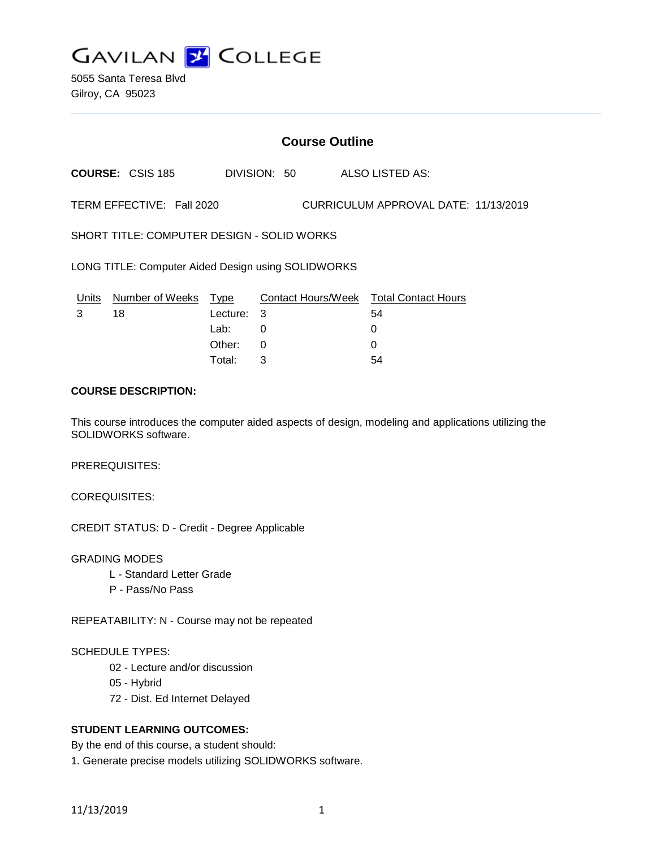

5055 Santa Teresa Blvd Gilroy, CA 95023

# **Course Outline**

**COURSE:** CSIS 185 DIVISION: 50 ALSO LISTED AS:

TERM EFFECTIVE: Fall 2020 CURRICULUM APPROVAL DATE: 11/13/2019

SHORT TITLE: COMPUTER DESIGN - SOLID WORKS

LONG TITLE: Computer Aided Design using SOLIDWORKS

| Units | Number of Weeks Type |            | Contact Hours/Week Total Contact Hours |    |
|-------|----------------------|------------|----------------------------------------|----|
|       | 18                   | Lecture: 3 |                                        | 54 |
|       |                      | Lab:       |                                        |    |
|       |                      | Other:     |                                        |    |
|       |                      | Total:     |                                        | 54 |

### **COURSE DESCRIPTION:**

This course introduces the computer aided aspects of design, modeling and applications utilizing the SOLIDWORKS software.

PREREQUISITES:

COREQUISITES:

CREDIT STATUS: D - Credit - Degree Applicable

GRADING MODES

- L Standard Letter Grade
- P Pass/No Pass

REPEATABILITY: N - Course may not be repeated

SCHEDULE TYPES:

- 02 Lecture and/or discussion
- 05 Hybrid
- 72 Dist. Ed Internet Delayed

### **STUDENT LEARNING OUTCOMES:**

By the end of this course, a student should: 1. Generate precise models utilizing SOLIDWORKS software.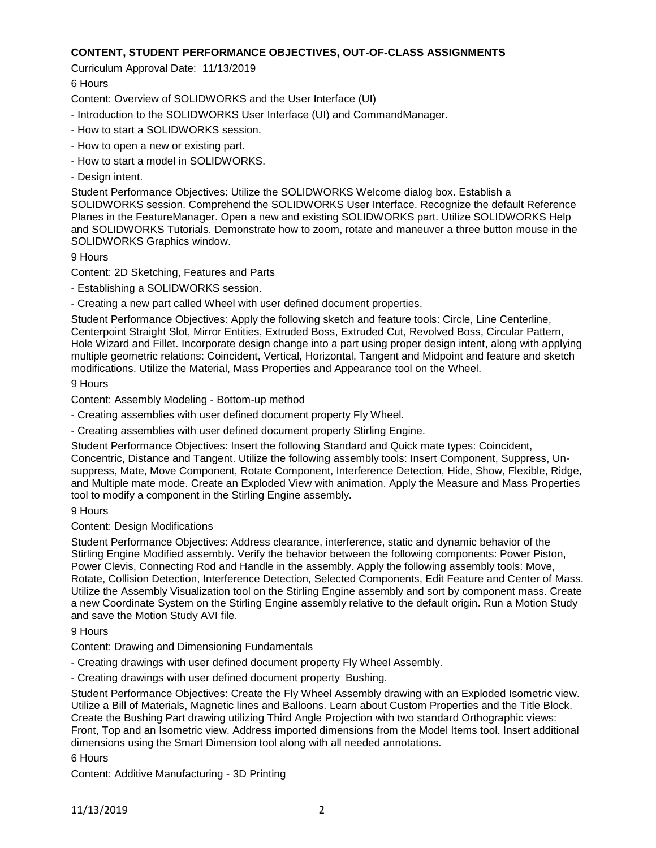## **CONTENT, STUDENT PERFORMANCE OBJECTIVES, OUT-OF-CLASS ASSIGNMENTS**

Curriculum Approval Date: 11/13/2019

## 6 Hours

Content: Overview of SOLIDWORKS and the User Interface (UI)

- Introduction to the SOLIDWORKS User Interface (UI) and CommandManager.

- How to start a SOLIDWORKS session.
- How to open a new or existing part.
- How to start a model in SOLIDWORKS.

## - Design intent.

Student Performance Objectives: Utilize the SOLIDWORKS Welcome dialog box. Establish a SOLIDWORKS session. Comprehend the SOLIDWORKS User Interface. Recognize the default Reference Planes in the FeatureManager. Open a new and existing SOLIDWORKS part. Utilize SOLIDWORKS Help and SOLIDWORKS Tutorials. Demonstrate how to zoom, rotate and maneuver a three button mouse in the SOLIDWORKS Graphics window.

### 9 Hours

Content: 2D Sketching, Features and Parts

- Establishing a SOLIDWORKS session.

- Creating a new part called Wheel with user defined document properties.

Student Performance Objectives: Apply the following sketch and feature tools: Circle, Line Centerline, Centerpoint Straight Slot, Mirror Entities, Extruded Boss, Extruded Cut, Revolved Boss, Circular Pattern, Hole Wizard and Fillet. Incorporate design change into a part using proper design intent, along with applying multiple geometric relations: Coincident, Vertical, Horizontal, Tangent and Midpoint and feature and sketch modifications. Utilize the Material, Mass Properties and Appearance tool on the Wheel.

### 9 Hours

Content: Assembly Modeling - Bottom-up method

- Creating assemblies with user defined document property Fly Wheel.

- Creating assemblies with user defined document property Stirling Engine.

Student Performance Objectives: Insert the following Standard and Quick mate types: Coincident, Concentric, Distance and Tangent. Utilize the following assembly tools: Insert Component, Suppress, Unsuppress, Mate, Move Component, Rotate Component, Interference Detection, Hide, Show, Flexible, Ridge, and Multiple mate mode. Create an Exploded View with animation. Apply the Measure and Mass Properties tool to modify a component in the Stirling Engine assembly.

### 9 Hours

Content: Design Modifications

Student Performance Objectives: Address clearance, interference, static and dynamic behavior of the Stirling Engine Modified assembly. Verify the behavior between the following components: Power Piston, Power Clevis, Connecting Rod and Handle in the assembly. Apply the following assembly tools: Move, Rotate, Collision Detection, Interference Detection, Selected Components, Edit Feature and Center of Mass. Utilize the Assembly Visualization tool on the Stirling Engine assembly and sort by component mass. Create a new Coordinate System on the Stirling Engine assembly relative to the default origin. Run a Motion Study and save the Motion Study AVI file.

### 9 Hours

Content: Drawing and Dimensioning Fundamentals

- Creating drawings with user defined document property Fly Wheel Assembly.

- Creating drawings with user defined document property Bushing.

Student Performance Objectives: Create the Fly Wheel Assembly drawing with an Exploded Isometric view. Utilize a Bill of Materials, Magnetic lines and Balloons. Learn about Custom Properties and the Title Block. Create the Bushing Part drawing utilizing Third Angle Projection with two standard Orthographic views: Front, Top and an Isometric view. Address imported dimensions from the Model Items tool. Insert additional dimensions using the Smart Dimension tool along with all needed annotations.

### 6 Hours

Content: Additive Manufacturing - 3D Printing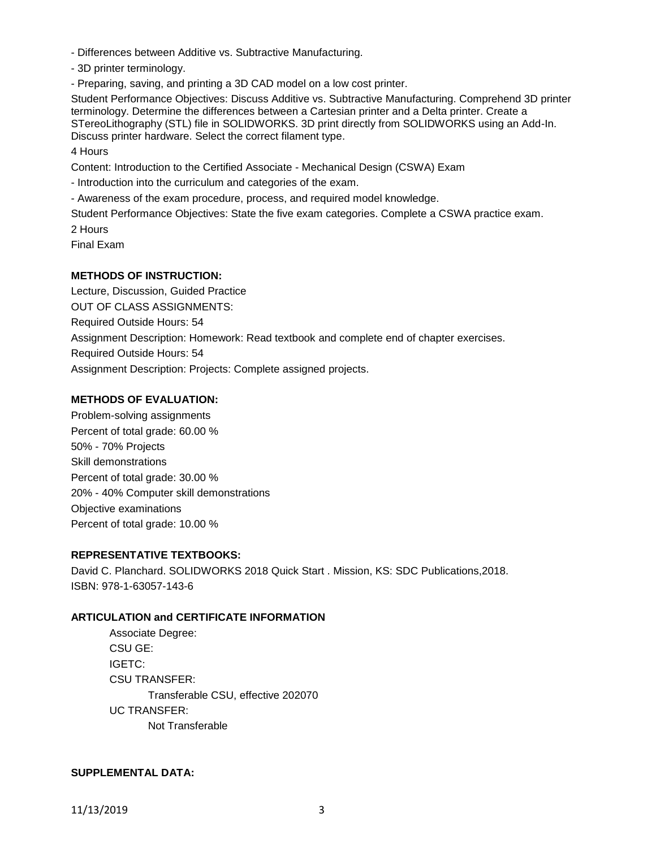- Differences between Additive vs. Subtractive Manufacturing.
- 3D printer terminology.

- Preparing, saving, and printing a 3D CAD model on a low cost printer.

Student Performance Objectives: Discuss Additive vs. Subtractive Manufacturing. Comprehend 3D printer terminology. Determine the differences between a Cartesian printer and a Delta printer. Create a STereoLithography (STL) file in SOLIDWORKS. 3D print directly from SOLIDWORKS using an Add-In. Discuss printer hardware. Select the correct filament type.

#### 4 Hours

Content: Introduction to the Certified Associate - Mechanical Design (CSWA) Exam

- Introduction into the curriculum and categories of the exam.

- Awareness of the exam procedure, process, and required model knowledge.

Student Performance Objectives: State the five exam categories. Complete a CSWA practice exam. 2 Hours

Final Exam

### **METHODS OF INSTRUCTION:**

Lecture, Discussion, Guided Practice OUT OF CLASS ASSIGNMENTS: Required Outside Hours: 54 Assignment Description: Homework: Read textbook and complete end of chapter exercises. Required Outside Hours: 54

Assignment Description: Projects: Complete assigned projects.

### **METHODS OF EVALUATION:**

Problem-solving assignments Percent of total grade: 60.00 % 50% - 70% Projects Skill demonstrations Percent of total grade: 30.00 % 20% - 40% Computer skill demonstrations Objective examinations Percent of total grade: 10.00 %

### **REPRESENTATIVE TEXTBOOKS:**

David C. Planchard. SOLIDWORKS 2018 Quick Start . Mission, KS: SDC Publications,2018. ISBN: 978-1-63057-143-6

### **ARTICULATION and CERTIFICATE INFORMATION**

Associate Degree: CSU GE: IGETC: CSU TRANSFER: Transferable CSU, effective 202070 UC TRANSFER: Not Transferable

#### **SUPPLEMENTAL DATA:**